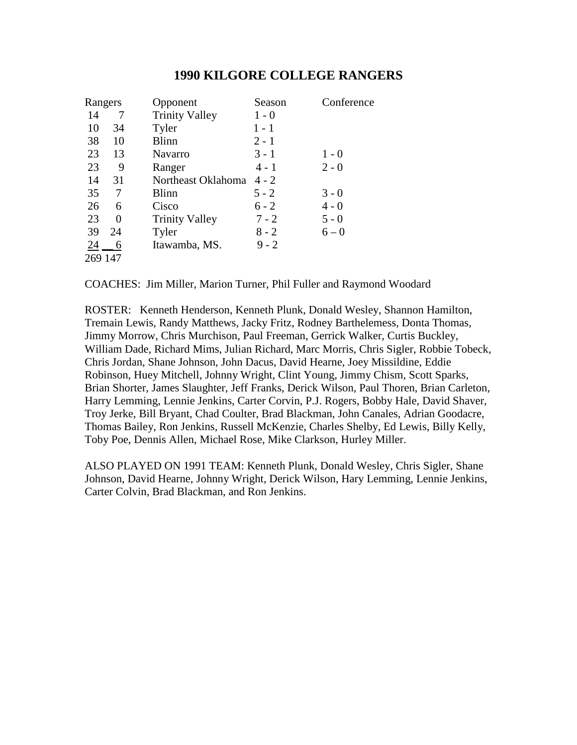| Rangers |    | Opponent              | Season  | Conference |
|---------|----|-----------------------|---------|------------|
| 14      | 7  | <b>Trinity Valley</b> | $1 - 0$ |            |
| 10      | 34 | Tyler                 | 1 - 1   |            |
| 38      | 10 | <b>Blinn</b>          | $2 - 1$ |            |
| 23      | 13 | Navarro               | $3 - 1$ | $1 - 0$    |
| 23      | 9  | Ranger                | $4 - 1$ | $2 - 0$    |
| 14      | 31 | Northeast Oklahoma    | $4 - 2$ |            |
| 35      | 7  | Blinn                 | $5 - 2$ | $3 - 0$    |
| 26      | 6  | Cisco                 | $6 - 2$ | $4 - 0$    |
| 23      | 0  | <b>Trinity Valley</b> | $7 - 2$ | $5 - 0$    |
| 39      | 24 | Tyler                 | $8 - 2$ | $6 - 0$    |
| 24      | 6  | Itawamba, MS.         | $9 - 2$ |            |
| 269 147 |    |                       |         |            |

COACHES: Jim Miller, Marion Turner, Phil Fuller and Raymond Woodard

ROSTER: Kenneth Henderson, Kenneth Plunk, Donald Wesley, Shannon Hamilton, Tremain Lewis, Randy Matthews, Jacky Fritz, Rodney Barthelemess, Donta Thomas, Jimmy Morrow, Chris Murchison, Paul Freeman, Gerrick Walker, Curtis Buckley, William Dade, Richard Mims, Julian Richard, Marc Morris, Chris Sigler, Robbie Tobeck, Chris Jordan, Shane Johnson, John Dacus, David Hearne, Joey Missildine, Eddie Robinson, Huey Mitchell, Johnny Wright, Clint Young, Jimmy Chism, Scott Sparks, Brian Shorter, James Slaughter, Jeff Franks, Derick Wilson, Paul Thoren, Brian Carleton, Harry Lemming, Lennie Jenkins, Carter Corvin, P.J. Rogers, Bobby Hale, David Shaver, Troy Jerke, Bill Bryant, Chad Coulter, Brad Blackman, John Canales, Adrian Goodacre, Thomas Bailey, Ron Jenkins, Russell McKenzie, Charles Shelby, Ed Lewis, Billy Kelly, Toby Poe, Dennis Allen, Michael Rose, Mike Clarkson, Hurley Miller.

ALSO PLAYED ON 1991 TEAM: Kenneth Plunk, Donald Wesley, Chris Sigler, Shane Johnson, David Hearne, Johnny Wright, Derick Wilson, Hary Lemming, Lennie Jenkins, Carter Colvin, Brad Blackman, and Ron Jenkins.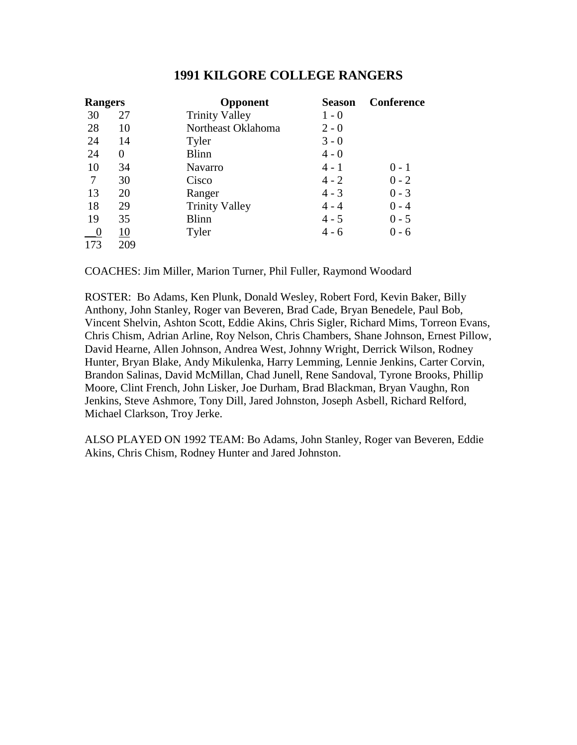| <b>Rangers</b> |          | Opponent              | <b>Season</b> | Conference |
|----------------|----------|-----------------------|---------------|------------|
| 30             | 27       | <b>Trinity Valley</b> | $1 - 0$       |            |
| 28             | 10       | Northeast Oklahoma    | $2 - 0$       |            |
| 24             | 14       | Tyler                 | $3 - 0$       |            |
| 24             | $\Omega$ | <b>Blinn</b>          | $4 - 0$       |            |
| 10             | 34       | <b>Navarro</b>        | $4 - 1$       | $0 - 1$    |
| 7              | 30       | Cisco                 | $4 - 2$       | $0 - 2$    |
| 13             | 20       | Ranger                | $4 - 3$       | $0 - 3$    |
| 18             | 29       | <b>Trinity Valley</b> | $4 - 4$       | $0 - 4$    |
| 19             | 35       | <b>Blinn</b>          | $4 - 5$       | $0 - 5$    |
|                | 10       | Tyler                 | $4 - 6$       | $0 - 6$    |
| 173            | 209      |                       |               |            |

COACHES: Jim Miller, Marion Turner, Phil Fuller, Raymond Woodard

ROSTER: Bo Adams, Ken Plunk, Donald Wesley, Robert Ford, Kevin Baker, Billy Anthony, John Stanley, Roger van Beveren, Brad Cade, Bryan Benedele, Paul Bob, Vincent Shelvin, Ashton Scott, Eddie Akins, Chris Sigler, Richard Mims, Torreon Evans, Chris Chism, Adrian Arline, Roy Nelson, Chris Chambers, Shane Johnson, Ernest Pillow, David Hearne, Allen Johnson, Andrea West, Johnny Wright, Derrick Wilson, Rodney Hunter, Bryan Blake, Andy Mikulenka, Harry Lemming, Lennie Jenkins, Carter Corvin, Brandon Salinas, David McMillan, Chad Junell, Rene Sandoval, Tyrone Brooks, Phillip Moore, Clint French, John Lisker, Joe Durham, Brad Blackman, Bryan Vaughn, Ron Jenkins, Steve Ashmore, Tony Dill, Jared Johnston, Joseph Asbell, Richard Relford, Michael Clarkson, Troy Jerke.

ALSO PLAYED ON 1992 TEAM: Bo Adams, John Stanley, Roger van Beveren, Eddie Akins, Chris Chism, Rodney Hunter and Jared Johnston.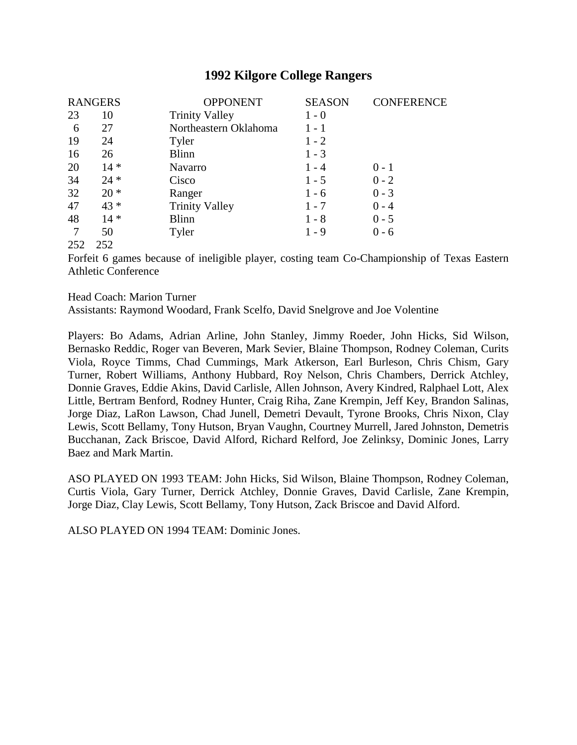| <b>RANGERS</b> |        | <b>OPPONENT</b>       | <b>SEASON</b> | <b>CONFERENCE</b> |
|----------------|--------|-----------------------|---------------|-------------------|
| 23             | 10     | <b>Trinity Valley</b> | $1 - 0$       |                   |
| 6              | 27     | Northeastern Oklahoma | $1 - 1$       |                   |
| 19             | 24     | Tyler                 | $1 - 2$       |                   |
| 16             | 26     | <b>Blinn</b>          | $1 - 3$       |                   |
| 20             | $14 *$ | <b>Navarro</b>        | $1 - 4$       | $0 - 1$           |
| 34             | $24 *$ | Cisco                 | $1 - 5$       | $0 - 2$           |
| 32             | $20 *$ | Ranger                | $1 - 6$       | $0 - 3$           |
| 47             | $43 *$ | <b>Trinity Valley</b> | $1 - 7$       | $0 - 4$           |
| 48             | $14 *$ | <b>Blinn</b>          | $1 - 8$       | $0 - 5$           |
| 7              | 50     | Tyler                 | $1 - 9$       | $0 - 6$           |
| 252            | 252    |                       |               |                   |

Forfeit 6 games because of ineligible player, costing team Co-Championship of Texas Eastern Athletic Conference

Head Coach: Marion Turner

Assistants: Raymond Woodard, Frank Scelfo, David Snelgrove and Joe Volentine

Players: Bo Adams, Adrian Arline, John Stanley, Jimmy Roeder, John Hicks, Sid Wilson, Bernasko Reddic, Roger van Beveren, Mark Sevier, Blaine Thompson, Rodney Coleman, Curits Viola, Royce Timms, Chad Cummings, Mark Atkerson, Earl Burleson, Chris Chism, Gary Turner, Robert Williams, Anthony Hubbard, Roy Nelson, Chris Chambers, Derrick Atchley, Donnie Graves, Eddie Akins, David Carlisle, Allen Johnson, Avery Kindred, Ralphael Lott, Alex Little, Bertram Benford, Rodney Hunter, Craig Riha, Zane Krempin, Jeff Key, Brandon Salinas, Jorge Diaz, LaRon Lawson, Chad Junell, Demetri Devault, Tyrone Brooks, Chris Nixon, Clay Lewis, Scott Bellamy, Tony Hutson, Bryan Vaughn, Courtney Murrell, Jared Johnston, Demetris Bucchanan, Zack Briscoe, David Alford, Richard Relford, Joe Zelinksy, Dominic Jones, Larry Baez and Mark Martin.

ASO PLAYED ON 1993 TEAM: John Hicks, Sid Wilson, Blaine Thompson, Rodney Coleman, Curtis Viola, Gary Turner, Derrick Atchley, Donnie Graves, David Carlisle, Zane Krempin, Jorge Diaz, Clay Lewis, Scott Bellamy, Tony Hutson, Zack Briscoe and David Alford.

ALSO PLAYED ON 1994 TEAM: Dominic Jones.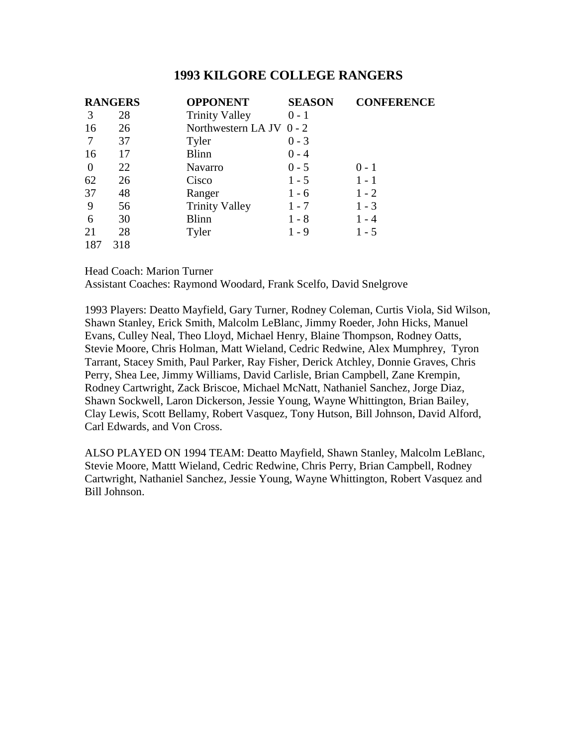|                | <b>RANGERS</b> | <b>OPPONENT</b>          | <b>SEASON</b> | <b>CONFERENCE</b> |
|----------------|----------------|--------------------------|---------------|-------------------|
| 3              | 28             | <b>Trinity Valley</b>    | $0 - 1$       |                   |
| 16             | 26             | Northwestern LA JV 0 - 2 |               |                   |
|                | 37             | Tyler                    | $0 - 3$       |                   |
| 16             | 17             | <b>Blinn</b>             | $0 - 4$       |                   |
| $\overline{0}$ | 22             | Navarro                  | $0 - 5$       | $0 - 1$           |
| 62             | 26             | Cisco                    | $1 - 5$       | $1 - 1$           |
| 37             | 48             | Ranger                   | $1 - 6$       | $1 - 2$           |
| 9              | 56             | <b>Trinity Valley</b>    | $1 - 7$       | $1 - 3$           |
| 6              | 30             | <b>Blinn</b>             | $1 - 8$       | $1 - 4$           |
| 21             | 28             | Tyler                    | $1 - 9$       | $1 - 5$           |
| 187            | 318            |                          |               |                   |

Head Coach: Marion Turner

Assistant Coaches: Raymond Woodard, Frank Scelfo, David Snelgrove

1993 Players: Deatto Mayfield, Gary Turner, Rodney Coleman, Curtis Viola, Sid Wilson, Shawn Stanley, Erick Smith, Malcolm LeBlanc, Jimmy Roeder, John Hicks, Manuel Evans, Culley Neal, Theo Lloyd, Michael Henry, Blaine Thompson, Rodney Oatts, Stevie Moore, Chris Holman, Matt Wieland, Cedric Redwine, Alex Mumphrey, Tyron Tarrant, Stacey Smith, Paul Parker, Ray Fisher, Derick Atchley, Donnie Graves, Chris Perry, Shea Lee, Jimmy Williams, David Carlisle, Brian Campbell, Zane Krempin, Rodney Cartwright, Zack Briscoe, Michael McNatt, Nathaniel Sanchez, Jorge Diaz, Shawn Sockwell, Laron Dickerson, Jessie Young, Wayne Whittington, Brian Bailey, Clay Lewis, Scott Bellamy, Robert Vasquez, Tony Hutson, Bill Johnson, David Alford, Carl Edwards, and Von Cross.

ALSO PLAYED ON 1994 TEAM: Deatto Mayfield, Shawn Stanley, Malcolm LeBlanc, Stevie Moore, Mattt Wieland, Cedric Redwine, Chris Perry, Brian Campbell, Rodney Cartwright, Nathaniel Sanchez, Jessie Young, Wayne Whittington, Robert Vasquez and Bill Johnson.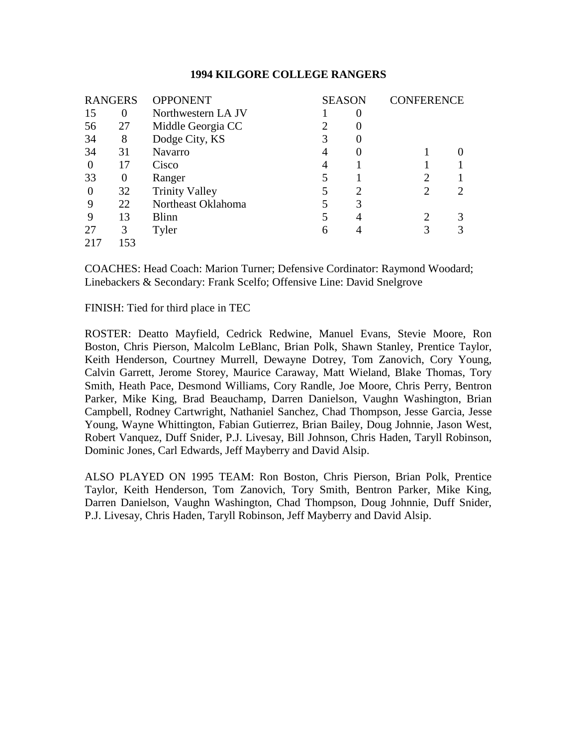| <b>RANGERS</b> |          | <b>OPPONENT</b>       |   | <b>SEASON</b>    | <b>CONFERENCE</b> |  |
|----------------|----------|-----------------------|---|------------------|-------------------|--|
| 15             | 0        | Northwestern LA JV    |   | $\left( \right)$ |                   |  |
| 56             | 27       | Middle Georgia CC     | റ |                  |                   |  |
| 34             | 8        | Dodge City, KS        | 3 |                  |                   |  |
| 34             | 31       | <b>Navarro</b>        | 4 |                  |                   |  |
| $\theta$       | 17       | Cisco                 | 4 |                  |                   |  |
| 33             | $\Omega$ | Ranger                |   |                  |                   |  |
| $\theta$       | 32       | <b>Trinity Valley</b> | 5 | 2                | 2                 |  |
| 9              | 22       | Northeast Oklahoma    | 5 | 3                |                   |  |
| 9              | 13       | <b>Blinn</b>          | 5 | 4                |                   |  |
| 27             | 3        | Tyler                 | 6 |                  | 3                 |  |
| 217            | 153      |                       |   |                  |                   |  |

COACHES: Head Coach: Marion Turner; Defensive Cordinator: Raymond Woodard; Linebackers & Secondary: Frank Scelfo; Offensive Line: David Snelgrove

FINISH: Tied for third place in TEC

ROSTER: Deatto Mayfield, Cedrick Redwine, Manuel Evans, Stevie Moore, Ron Boston, Chris Pierson, Malcolm LeBlanc, Brian Polk, Shawn Stanley, Prentice Taylor, Keith Henderson, Courtney Murrell, Dewayne Dotrey, Tom Zanovich, Cory Young, Calvin Garrett, Jerome Storey, Maurice Caraway, Matt Wieland, Blake Thomas, Tory Smith, Heath Pace, Desmond Williams, Cory Randle, Joe Moore, Chris Perry, Bentron Parker, Mike King, Brad Beauchamp, Darren Danielson, Vaughn Washington, Brian Campbell, Rodney Cartwright, Nathaniel Sanchez, Chad Thompson, Jesse Garcia, Jesse Young, Wayne Whittington, Fabian Gutierrez, Brian Bailey, Doug Johnnie, Jason West, Robert Vanquez, Duff Snider, P.J. Livesay, Bill Johnson, Chris Haden, Taryll Robinson, Dominic Jones, Carl Edwards, Jeff Mayberry and David Alsip.

ALSO PLAYED ON 1995 TEAM: Ron Boston, Chris Pierson, Brian Polk, Prentice Taylor, Keith Henderson, Tom Zanovich, Tory Smith, Bentron Parker, Mike King, Darren Danielson, Vaughn Washington, Chad Thompson, Doug Johnnie, Duff Snider, P.J. Livesay, Chris Haden, Taryll Robinson, Jeff Mayberry and David Alsip.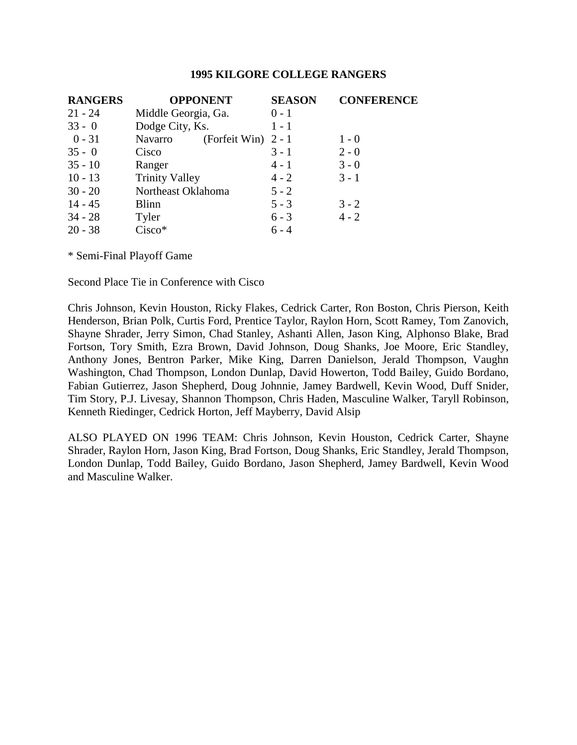| <b>RANGERS</b> | <b>OPPONENT</b>                  | <b>SEASON</b> | <b>CONFERENCE</b> |
|----------------|----------------------------------|---------------|-------------------|
| $21 - 24$      | Middle Georgia, Ga.              | $0 - 1$       |                   |
| $33 - 0$       | Dodge City, Ks.                  | $1 - 1$       |                   |
| $0 - 31$       | (Forfeit Win) $2 - 1$<br>Navarro |               | $1 - 0$           |
| $35 - 0$       | Cisco                            | $3 - 1$       | $2 - 0$           |
| $35 - 10$      | Ranger                           | $4 - 1$       | $3 - 0$           |
| $10 - 13$      | <b>Trinity Valley</b>            | $4 - 2$       | $3 - 1$           |
| $30 - 20$      | Northeast Oklahoma               | $5 - 2$       |                   |
| $14 - 45$      | <b>Blinn</b>                     | $5 - 3$       | $3 - 2$           |
| $34 - 28$      | Tyler                            | $6 - 3$       | $4 - 2$           |
| $20 - 38$      | Cisco*                           | $6 - 4$       |                   |

\* Semi-Final Playoff Game

Second Place Tie in Conference with Cisco

Chris Johnson, Kevin Houston, Ricky Flakes, Cedrick Carter, Ron Boston, Chris Pierson, Keith Henderson, Brian Polk, Curtis Ford, Prentice Taylor, Raylon Horn, Scott Ramey, Tom Zanovich, Shayne Shrader, Jerry Simon, Chad Stanley, Ashanti Allen, Jason King, Alphonso Blake, Brad Fortson, Tory Smith, Ezra Brown, David Johnson, Doug Shanks, Joe Moore, Eric Standley, Anthony Jones, Bentron Parker, Mike King, Darren Danielson, Jerald Thompson, Vaughn Washington, Chad Thompson, London Dunlap, David Howerton, Todd Bailey, Guido Bordano, Fabian Gutierrez, Jason Shepherd, Doug Johnnie, Jamey Bardwell, Kevin Wood, Duff Snider, Tim Story, P.J. Livesay, Shannon Thompson, Chris Haden, Masculine Walker, Taryll Robinson, Kenneth Riedinger, Cedrick Horton, Jeff Mayberry, David Alsip

ALSO PLAYED ON 1996 TEAM: Chris Johnson, Kevin Houston, Cedrick Carter, Shayne Shrader, Raylon Horn, Jason King, Brad Fortson, Doug Shanks, Eric Standley, Jerald Thompson, London Dunlap, Todd Bailey, Guido Bordano, Jason Shepherd, Jamey Bardwell, Kevin Wood and Masculine Walker.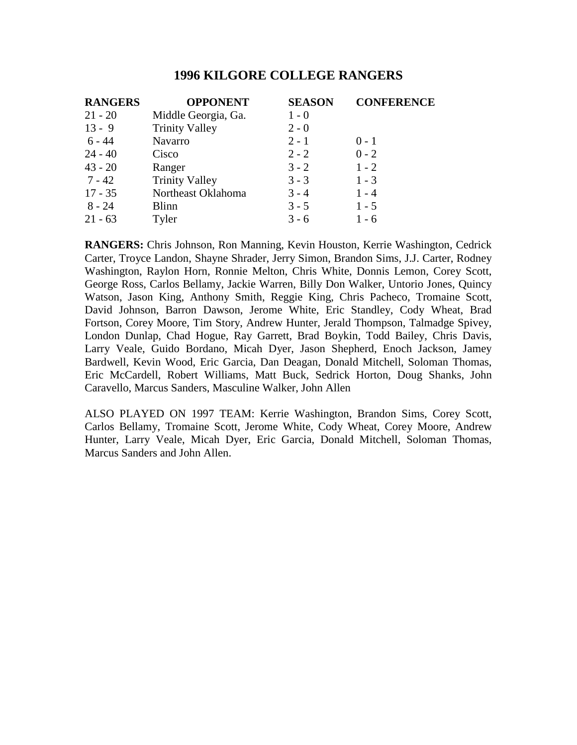| <b>RANGERS</b> | <b>OPPONENT</b>       | <b>SEASON</b> | <b>CONFERENCE</b> |
|----------------|-----------------------|---------------|-------------------|
| $21 - 20$      | Middle Georgia, Ga.   | $1 - 0$       |                   |
| $13 - 9$       | <b>Trinity Valley</b> | $2 - 0$       |                   |
| 6 - 44         | Navarro               | $2 - 1$       | $0 - 1$           |
| $24 - 40$      | Cisco                 | $2 - 2$       | $0 - 2$           |
| $43 - 20$      | Ranger                | $3 - 2$       | $1 - 2$           |
| $7 - 42$       | <b>Trinity Valley</b> | $3 - 3$       | $1 - 3$           |
| $17 - 35$      | Northeast Oklahoma    | $3 - 4$       | $1 - 4$           |
| $8 - 24$       | <b>Blinn</b>          | $3 - 5$       | $1 - 5$           |
| $21 - 63$      | Tyler                 | $3 - 6$       | $1 - 6$           |

**RANGERS:** Chris Johnson, Ron Manning, Kevin Houston, Kerrie Washington, Cedrick Carter, Troyce Landon, Shayne Shrader, Jerry Simon, Brandon Sims, J.J. Carter, Rodney Washington, Raylon Horn, Ronnie Melton, Chris White, Donnis Lemon, Corey Scott, George Ross, Carlos Bellamy, Jackie Warren, Billy Don Walker, Untorio Jones, Quincy Watson, Jason King, Anthony Smith, Reggie King, Chris Pacheco, Tromaine Scott, David Johnson, Barron Dawson, Jerome White, Eric Standley, Cody Wheat, Brad Fortson, Corey Moore, Tim Story, Andrew Hunter, Jerald Thompson, Talmadge Spivey, London Dunlap, Chad Hogue, Ray Garrett, Brad Boykin, Todd Bailey, Chris Davis, Larry Veale, Guido Bordano, Micah Dyer, Jason Shepherd, Enoch Jackson, Jamey Bardwell, Kevin Wood, Eric Garcia, Dan Deagan, Donald Mitchell, Soloman Thomas, Eric McCardell, Robert Williams, Matt Buck, Sedrick Horton, Doug Shanks, John Caravello, Marcus Sanders, Masculine Walker, John Allen

ALSO PLAYED ON 1997 TEAM: Kerrie Washington, Brandon Sims, Corey Scott, Carlos Bellamy, Tromaine Scott, Jerome White, Cody Wheat, Corey Moore, Andrew Hunter, Larry Veale, Micah Dyer, Eric Garcia, Donald Mitchell, Soloman Thomas, Marcus Sanders and John Allen.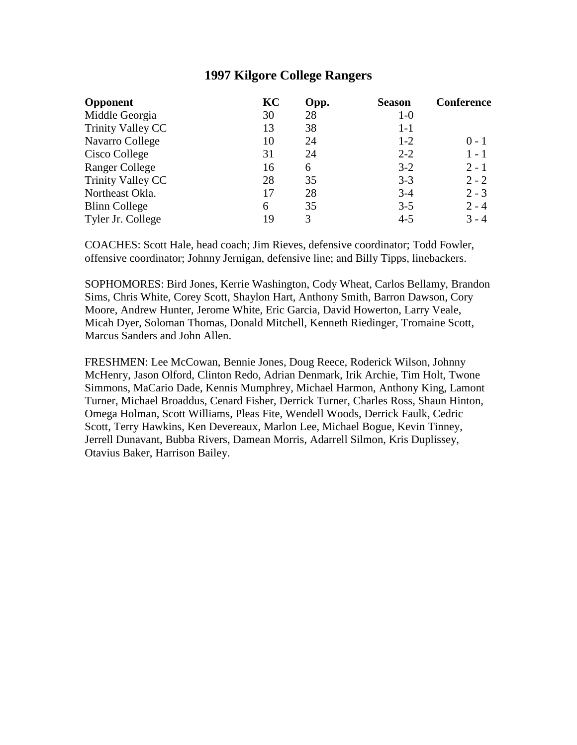| <b>Opponent</b>          | KC | Opp. | <b>Season</b> | <b>Conference</b> |
|--------------------------|----|------|---------------|-------------------|
| Middle Georgia           | 30 | 28   | $1-0$         |                   |
| <b>Trinity Valley CC</b> | 13 | 38   | $1-1$         |                   |
| Navarro College          | 10 | 24   | $1 - 2$       | $0 - 1$           |
| Cisco College            | 31 | 24   | $2 - 2$       | $1 - 1$           |
| <b>Ranger College</b>    | 16 | 6    | $3-2$         | $2 - 1$           |
| Trinity Valley CC        | 28 | 35   | $3 - 3$       | $2 - 2$           |
| Northeast Okla.          | 17 | 28   | $3-4$         | $2 - 3$           |
| <b>Blinn College</b>     | 6  | 35   | $3 - 5$       | $2 - 4$           |
| Tyler Jr. College        | 19 | 3    | $4 - 5$       | $3 - 4$           |

COACHES: Scott Hale, head coach; Jim Rieves, defensive coordinator; Todd Fowler, offensive coordinator; Johnny Jernigan, defensive line; and Billy Tipps, linebackers.

SOPHOMORES: Bird Jones, Kerrie Washington, Cody Wheat, Carlos Bellamy, Brandon Sims, Chris White, Corey Scott, Shaylon Hart, Anthony Smith, Barron Dawson, Cory Moore, Andrew Hunter, Jerome White, Eric Garcia, David Howerton, Larry Veale, Micah Dyer, Soloman Thomas, Donald Mitchell, Kenneth Riedinger, Tromaine Scott, Marcus Sanders and John Allen.

FRESHMEN: Lee McCowan, Bennie Jones, Doug Reece, Roderick Wilson, Johnny McHenry, Jason Olford, Clinton Redo, Adrian Denmark, Irik Archie, Tim Holt, Twone Simmons, MaCario Dade, Kennis Mumphrey, Michael Harmon, Anthony King, Lamont Turner, Michael Broaddus, Cenard Fisher, Derrick Turner, Charles Ross, Shaun Hinton, Omega Holman, Scott Williams, Pleas Fite, Wendell Woods, Derrick Faulk, Cedric Scott, Terry Hawkins, Ken Devereaux, Marlon Lee, Michael Bogue, Kevin Tinney, Jerrell Dunavant, Bubba Rivers, Damean Morris, Adarrell Silmon, Kris Duplissey, Otavius Baker, Harrison Bailey.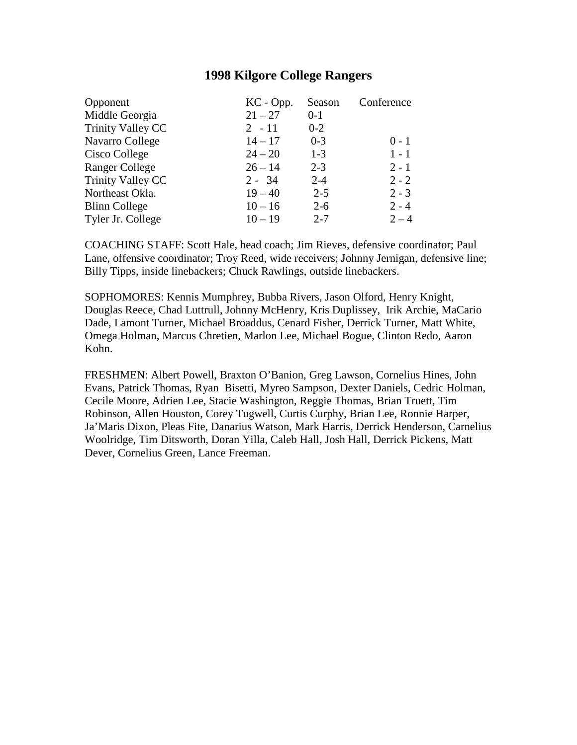| Opponent              | KC - Opp. | Season  | Conference |
|-----------------------|-----------|---------|------------|
| Middle Georgia        | $21 - 27$ | $0-1$   |            |
| Trinity Valley CC     | $2 - 11$  | $0 - 2$ |            |
| Navarro College       | $14 - 17$ | $0 - 3$ | $0 - 1$    |
| Cisco College         | $24 - 20$ | $1-3$   | $1 - 1$    |
| <b>Ranger College</b> | $26 - 14$ | $2 - 3$ | $2 - 1$    |
| Trinity Valley CC     | $2 - 34$  | $2 - 4$ | $2 - 2$    |
| Northeast Okla.       | $19 - 40$ | $2 - 5$ | $2 - 3$    |
| <b>Blinn College</b>  | $10 - 16$ | $2 - 6$ | $2 - 4$    |
| Tyler Jr. College     | $10 - 19$ | $2 - 7$ | $2 - 4$    |

COACHING STAFF: Scott Hale, head coach; Jim Rieves, defensive coordinator; Paul Lane, offensive coordinator; Troy Reed, wide receivers; Johnny Jernigan, defensive line; Billy Tipps, inside linebackers; Chuck Rawlings, outside linebackers.

SOPHOMORES: Kennis Mumphrey, Bubba Rivers, Jason Olford, Henry Knight, Douglas Reece, Chad Luttrull, Johnny McHenry, Kris Duplissey, Irik Archie, MaCario Dade, Lamont Turner, Michael Broaddus, Cenard Fisher, Derrick Turner, Matt White, Omega Holman, Marcus Chretien, Marlon Lee, Michael Bogue, Clinton Redo, Aaron Kohn.

FRESHMEN: Albert Powell, Braxton O'Banion, Greg Lawson, Cornelius Hines, John Evans, Patrick Thomas, Ryan Bisetti, Myreo Sampson, Dexter Daniels, Cedric Holman, Cecile Moore, Adrien Lee, Stacie Washington, Reggie Thomas, Brian Truett, Tim Robinson, Allen Houston, Corey Tugwell, Curtis Curphy, Brian Lee, Ronnie Harper, Ja'Maris Dixon, Pleas Fite, Danarius Watson, Mark Harris, Derrick Henderson, Carnelius Woolridge, Tim Ditsworth, Doran Yilla, Caleb Hall, Josh Hall, Derrick Pickens, Matt Dever, Cornelius Green, Lance Freeman.